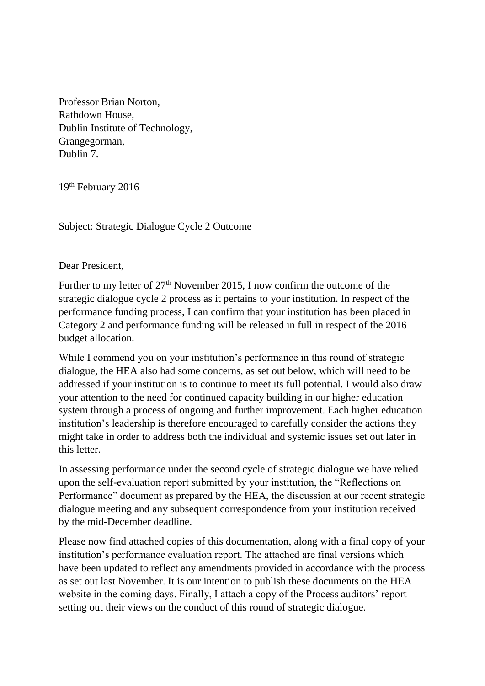Professor Brian Norton, Rathdown House, Dublin Institute of Technology, Grangegorman, Dublin 7.

19<sup>th</sup> February 2016

Subject: Strategic Dialogue Cycle 2 Outcome

Dear President,

Further to my letter of 27<sup>th</sup> November 2015, I now confirm the outcome of the strategic dialogue cycle 2 process as it pertains to your institution. In respect of the performance funding process, I can confirm that your institution has been placed in Category 2 and performance funding will be released in full in respect of the 2016 budget allocation.

While I commend you on your institution's performance in this round of strategic dialogue, the HEA also had some concerns, as set out below, which will need to be addressed if your institution is to continue to meet its full potential. I would also draw your attention to the need for continued capacity building in our higher education system through a process of ongoing and further improvement. Each higher education institution's leadership is therefore encouraged to carefully consider the actions they might take in order to address both the individual and systemic issues set out later in this letter.

In assessing performance under the second cycle of strategic dialogue we have relied upon the self-evaluation report submitted by your institution, the "Reflections on Performance" document as prepared by the HEA, the discussion at our recent strategic dialogue meeting and any subsequent correspondence from your institution received by the mid-December deadline.

Please now find attached copies of this documentation, along with a final copy of your institution's performance evaluation report. The attached are final versions which have been updated to reflect any amendments provided in accordance with the process as set out last November. It is our intention to publish these documents on the HEA website in the coming days. Finally, I attach a copy of the Process auditors' report setting out their views on the conduct of this round of strategic dialogue.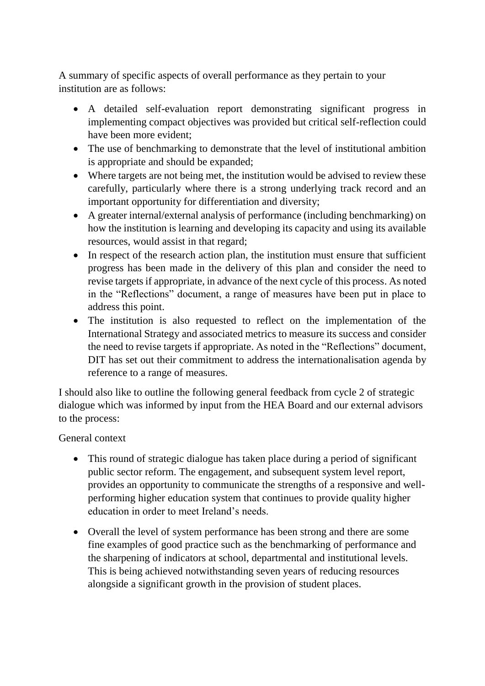A summary of specific aspects of overall performance as they pertain to your institution are as follows:

- A detailed self-evaluation report demonstrating significant progress in implementing compact objectives was provided but critical self-reflection could have been more evident;
- The use of benchmarking to demonstrate that the level of institutional ambition is appropriate and should be expanded;
- Where targets are not being met, the institution would be advised to review these carefully, particularly where there is a strong underlying track record and an important opportunity for differentiation and diversity;
- A greater internal/external analysis of performance (including benchmarking) on how the institution is learning and developing its capacity and using its available resources, would assist in that regard;
- In respect of the research action plan, the institution must ensure that sufficient progress has been made in the delivery of this plan and consider the need to revise targets if appropriate, in advance of the next cycle of this process. As noted in the "Reflections" document, a range of measures have been put in place to address this point.
- The institution is also requested to reflect on the implementation of the International Strategy and associated metrics to measure its success and consider the need to revise targets if appropriate. As noted in the "Reflections" document, DIT has set out their commitment to address the internationalisation agenda by reference to a range of measures.

I should also like to outline the following general feedback from cycle 2 of strategic dialogue which was informed by input from the HEA Board and our external advisors to the process:

## General context

- This round of strategic dialogue has taken place during a period of significant public sector reform. The engagement, and subsequent system level report, provides an opportunity to communicate the strengths of a responsive and wellperforming higher education system that continues to provide quality higher education in order to meet Ireland's needs.
- Overall the level of system performance has been strong and there are some fine examples of good practice such as the benchmarking of performance and the sharpening of indicators at school, departmental and institutional levels. This is being achieved notwithstanding seven years of reducing resources alongside a significant growth in the provision of student places.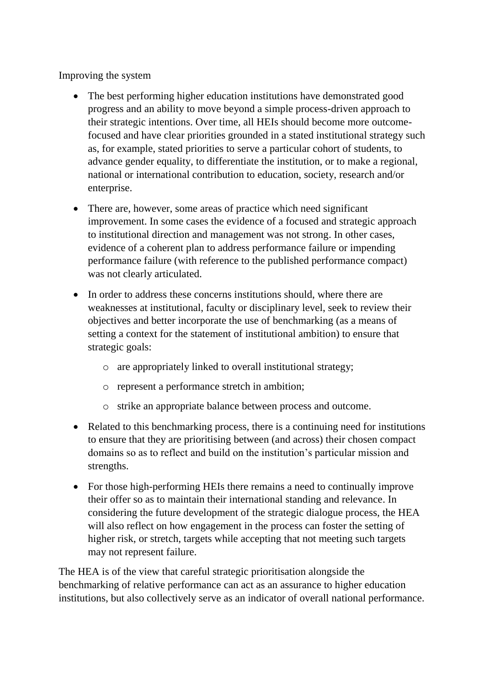Improving the system

- The best performing higher education institutions have demonstrated good progress and an ability to move beyond a simple process-driven approach to their strategic intentions. Over time, all HEIs should become more outcomefocused and have clear priorities grounded in a stated institutional strategy such as, for example, stated priorities to serve a particular cohort of students, to advance gender equality, to differentiate the institution, or to make a regional, national or international contribution to education, society, research and/or enterprise.
- There are, however, some areas of practice which need significant improvement. In some cases the evidence of a focused and strategic approach to institutional direction and management was not strong. In other cases, evidence of a coherent plan to address performance failure or impending performance failure (with reference to the published performance compact) was not clearly articulated.
- In order to address these concerns institutions should, where there are weaknesses at institutional, faculty or disciplinary level, seek to review their objectives and better incorporate the use of benchmarking (as a means of setting a context for the statement of institutional ambition) to ensure that strategic goals:
	- o are appropriately linked to overall institutional strategy;
	- o represent a performance stretch in ambition;
	- o strike an appropriate balance between process and outcome.
- Related to this benchmarking process, there is a continuing need for institutions to ensure that they are prioritising between (and across) their chosen compact domains so as to reflect and build on the institution's particular mission and strengths.
- For those high-performing HEIs there remains a need to continually improve their offer so as to maintain their international standing and relevance. In considering the future development of the strategic dialogue process, the HEA will also reflect on how engagement in the process can foster the setting of higher risk, or stretch, targets while accepting that not meeting such targets may not represent failure.

The HEA is of the view that careful strategic prioritisation alongside the benchmarking of relative performance can act as an assurance to higher education institutions, but also collectively serve as an indicator of overall national performance.